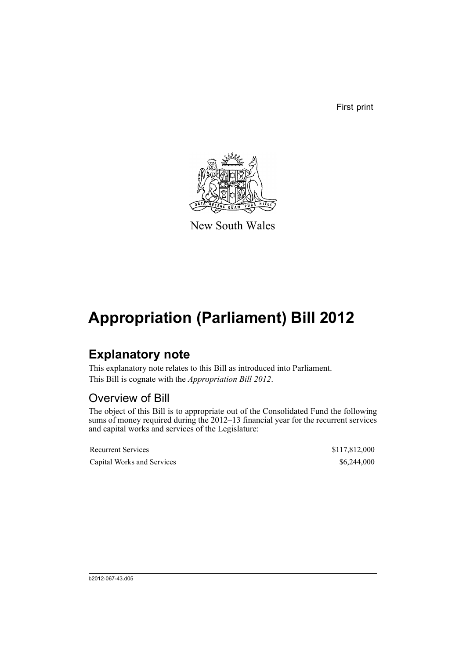First print



New South Wales

## **Appropriation (Parliament) Bill 2012**

## **Explanatory note**

This explanatory note relates to this Bill as introduced into Parliament. This Bill is cognate with the *Appropriation Bill 2012*.

## Overview of Bill

The object of this Bill is to appropriate out of the Consolidated Fund the following sums of money required during the 2012–13 financial year for the recurrent services and capital works and services of the Legislature:

| <b>Recurrent Services</b>  | \$117,812,000 |
|----------------------------|---------------|
| Capital Works and Services | \$6,244,000   |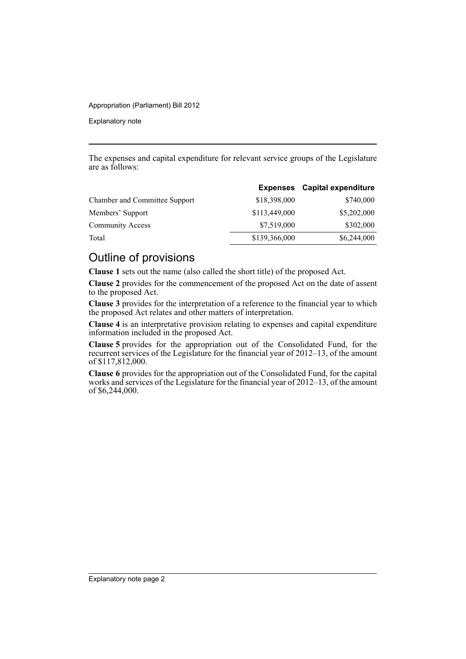#### Appropriation (Parliament) Bill 2012

Explanatory note

The expenses and capital expenditure for relevant service groups of the Legislature are as follows:

|               | <b>Expenses</b> Capital expenditure |
|---------------|-------------------------------------|
| \$18,398,000  | \$740,000                           |
| \$113,449,000 | \$5,202,000                         |
| \$7,519,000   | \$302,000                           |
| \$139,366,000 | \$6,244,000                         |
|               |                                     |

### Outline of provisions

**Clause 1** sets out the name (also called the short title) of the proposed Act.

**Clause 2** provides for the commencement of the proposed Act on the date of assent to the proposed Act.

**Clause 3** provides for the interpretation of a reference to the financial year to which the proposed Act relates and other matters of interpretation.

**Clause 4** is an interpretative provision relating to expenses and capital expenditure information included in the proposed Act.

**Clause 5** provides for the appropriation out of the Consolidated Fund, for the recurrent services of the Legislature for the financial year of 2012–13, of the amount of \$117,812,000.

**Clause 6** provides for the appropriation out of the Consolidated Fund, for the capital works and services of the Legislature for the financial year of 2012–13, of the amount of \$6,244,000.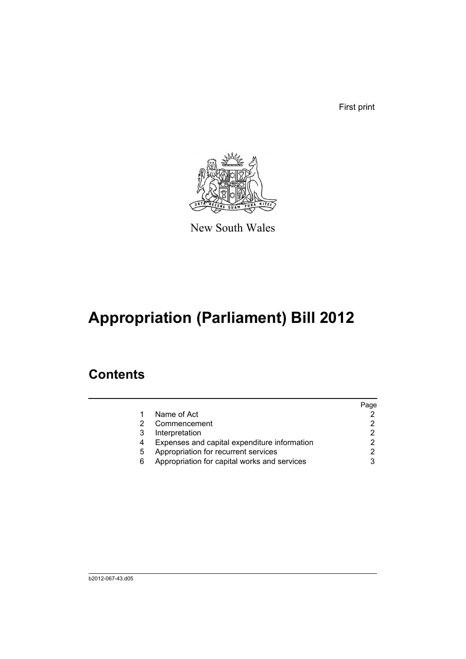First print



New South Wales

# **Appropriation (Parliament) Bill 2012**

## **Contents**

|   |                                              | Page |
|---|----------------------------------------------|------|
|   | Name of Act                                  |      |
|   | Commencement                                 |      |
| 3 | Interpretation                               |      |
| 4 | Expenses and capital expenditure information |      |
| 5 | Appropriation for recurrent services         |      |
| 6 | Appropriation for capital works and services |      |
|   |                                              |      |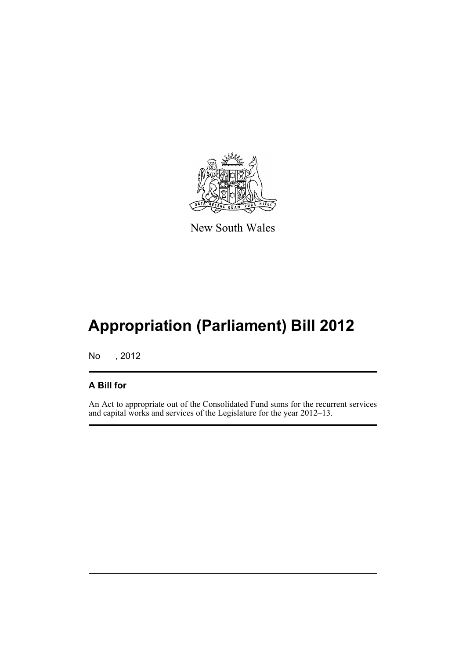

New South Wales

# **Appropriation (Parliament) Bill 2012**

No , 2012

#### **A Bill for**

An Act to appropriate out of the Consolidated Fund sums for the recurrent services and capital works and services of the Legislature for the year 2012–13.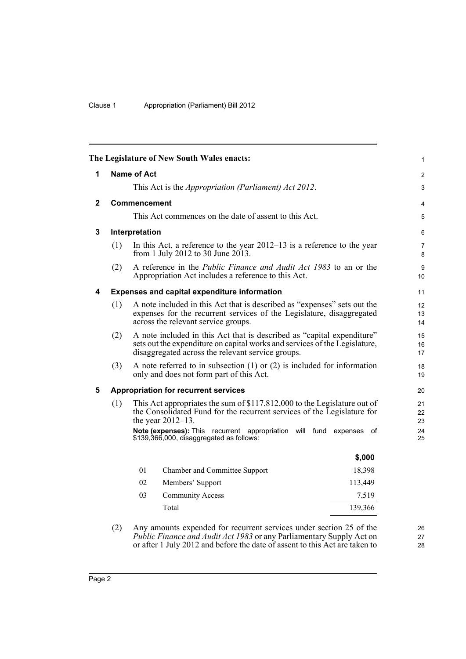<span id="page-5-3"></span><span id="page-5-2"></span><span id="page-5-1"></span><span id="page-5-0"></span>

|                                                          |                                                                                                                                                                                                                                                                                                                                                      |                    | The Legislature of New South Wales enacts:                                                                                                                                                                |                | 1                      |
|----------------------------------------------------------|------------------------------------------------------------------------------------------------------------------------------------------------------------------------------------------------------------------------------------------------------------------------------------------------------------------------------------------------------|--------------------|-----------------------------------------------------------------------------------------------------------------------------------------------------------------------------------------------------------|----------------|------------------------|
| 1                                                        |                                                                                                                                                                                                                                                                                                                                                      | <b>Name of Act</b> |                                                                                                                                                                                                           |                | $\overline{2}$         |
|                                                          |                                                                                                                                                                                                                                                                                                                                                      |                    | This Act is the <i>Appropriation (Parliament) Act 2012</i> .                                                                                                                                              |                | $\mathfrak{S}$         |
| $\mathbf{2}$                                             | <b>Commencement</b>                                                                                                                                                                                                                                                                                                                                  |                    |                                                                                                                                                                                                           |                | 4                      |
|                                                          |                                                                                                                                                                                                                                                                                                                                                      |                    | This Act commences on the date of assent to this Act.                                                                                                                                                     |                | $\sqrt{5}$             |
| 3                                                        | Interpretation                                                                                                                                                                                                                                                                                                                                       |                    |                                                                                                                                                                                                           |                | 6                      |
|                                                          | (1)                                                                                                                                                                                                                                                                                                                                                  |                    | In this Act, a reference to the year $2012-13$ is a reference to the year<br>from 1 July 2012 to 30 June 2013.                                                                                            |                | $\overline{7}$<br>8    |
|                                                          | (2)                                                                                                                                                                                                                                                                                                                                                  |                    | A reference in the <i>Public Finance and Audit Act 1983</i> to an or the<br>Appropriation Act includes a reference to this Act.                                                                           |                | $\boldsymbol{9}$<br>10 |
| <b>Expenses and capital expenditure information</b><br>4 |                                                                                                                                                                                                                                                                                                                                                      |                    |                                                                                                                                                                                                           | 11             |                        |
|                                                          | (1)                                                                                                                                                                                                                                                                                                                                                  |                    | A note included in this Act that is described as "expenses" sets out the<br>expenses for the recurrent services of the Legislature, disaggregated<br>across the relevant service groups.                  |                | 12<br>13<br>14         |
|                                                          | (2)                                                                                                                                                                                                                                                                                                                                                  |                    | A note included in this Act that is described as "capital expenditure"<br>sets out the expenditure on capital works and services of the Legislature,<br>disaggregated across the relevant service groups. |                | 15<br>16<br>17         |
|                                                          | (3)                                                                                                                                                                                                                                                                                                                                                  |                    | A note referred to in subsection $(1)$ or $(2)$ is included for information<br>only and does not form part of this Act.                                                                                   |                | 18<br>19               |
| 5                                                        | <b>Appropriation for recurrent services</b><br>This Act appropriates the sum of \$117,812,000 to the Legislature out of<br>(1)<br>the Consolidated Fund for the recurrent services of the Legislature for<br>the year $2012-13$ .<br>Note (expenses): This recurrent appropriation will fund expenses of<br>\$139,366,000, disaggregated as follows: |                    |                                                                                                                                                                                                           | 20             |                        |
|                                                          |                                                                                                                                                                                                                                                                                                                                                      |                    |                                                                                                                                                                                                           | 21<br>22<br>23 |                        |
|                                                          |                                                                                                                                                                                                                                                                                                                                                      |                    |                                                                                                                                                                                                           | 24<br>25       |                        |
|                                                          |                                                                                                                                                                                                                                                                                                                                                      |                    |                                                                                                                                                                                                           | \$,000         |                        |
|                                                          |                                                                                                                                                                                                                                                                                                                                                      | 01                 | Chamber and Committee Support                                                                                                                                                                             | 18,398         |                        |
|                                                          |                                                                                                                                                                                                                                                                                                                                                      | 02                 | Members' Support                                                                                                                                                                                          | 113,449        |                        |
|                                                          |                                                                                                                                                                                                                                                                                                                                                      | 03                 | <b>Community Access</b>                                                                                                                                                                                   | 7,519          |                        |
|                                                          |                                                                                                                                                                                                                                                                                                                                                      |                    | Total                                                                                                                                                                                                     | 139,366        |                        |

<span id="page-5-4"></span>(2) Any amounts expended for recurrent services under section 25 of the *Public Finance and Audit Act 1983* or any Parliamentary Supply Act on or after 1 July 2012 and before the date of assent to this Act are taken to 26 27 28